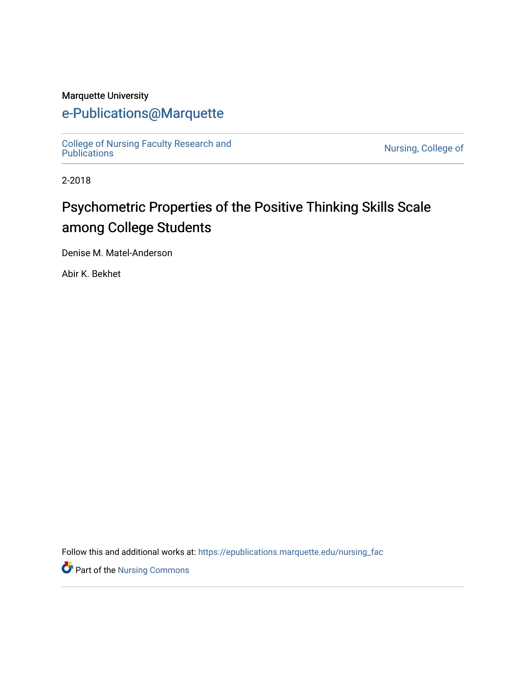## Marquette University

## [e-Publications@Marquette](https://epublications.marquette.edu/)

[College of Nursing Faculty Research and](https://epublications.marquette.edu/nursing_fac) [Publications](https://epublications.marquette.edu/nursing_fac) [Nursing, College of](https://epublications.marquette.edu/nursing) 

2-2018

# Psychometric Properties of the Positive Thinking Skills Scale among College Students

Denise M. Matel-Anderson

Abir K. Bekhet

Follow this and additional works at: [https://epublications.marquette.edu/nursing\\_fac](https://epublications.marquette.edu/nursing_fac?utm_source=epublications.marquette.edu%2Fnursing_fac%2F609&utm_medium=PDF&utm_campaign=PDFCoverPages)

**P** Part of the Nursing Commons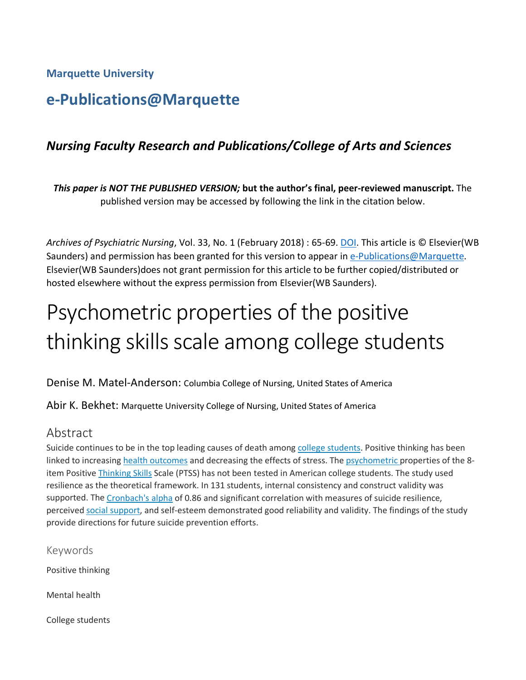**Marquette University**

# **e-Publications@Marquette**

## *Nursing Faculty Research and Publications/College of Arts and Sciences*

*This paper is NOT THE PUBLISHED VERSION;* **but the author's final, peer-reviewed manuscript.** The published version may be accessed by following the link in the citation below.

*Archives of Psychiatric Nursing*, Vol. 33, No. 1 (February 2018) : 65-69. [DOI.](https://www.sciencedirect.com/science/article/pii/S0883941718302450?via%3Dihub#!) This article is © Elsevier(WB Saunders) and permission has been granted for this version to appear in [e-Publications@Marquette.](http://epublications.marquette.edu/) Elsevier(WB Saunders)does not grant permission for this article to be further copied/distributed or hosted elsewhere without the express permission from Elsevier(WB Saunders).

# Psychometric properties of the positive thinking skills scale among college students

Denise M. Matel-Anderson: Columbia College of Nursing, United States of America

Abir K. Bekhet: Marquette University College of Nursing, United States of America

## Abstract

Suicide continues to be in the top leading causes of death among [college students.](https://www.sciencedirect.com/topics/medicine-and-dentistry/college-students) Positive thinking has been linked to increasing [health outcomes](https://www.sciencedirect.com/topics/medicine-and-dentistry/health-outcomes) and decreasing the effects of stress. The [psychometric](https://www.sciencedirect.com/topics/medicine-and-dentistry/psychometry) properties of the 8item Positive [Thinking Skills](https://www.sciencedirect.com/topics/psychology/thinking-skills) Scale (PTSS) has not been tested in American college students. The study used resilience as the theoretical framework. In 131 students, internal consistency and construct validity was supported. The [Cronbach's alpha](https://www.sciencedirect.com/topics/nursing-and-health-professions/cronbach-alpha-coefficient) of 0.86 and significant correlation with measures of suicide resilience, perceived [social support,](https://www.sciencedirect.com/topics/psychology/social-support) and self-esteem demonstrated good reliability and validity. The findings of the study provide directions for future suicide prevention efforts.

Keywords Positive thinking Mental health

College students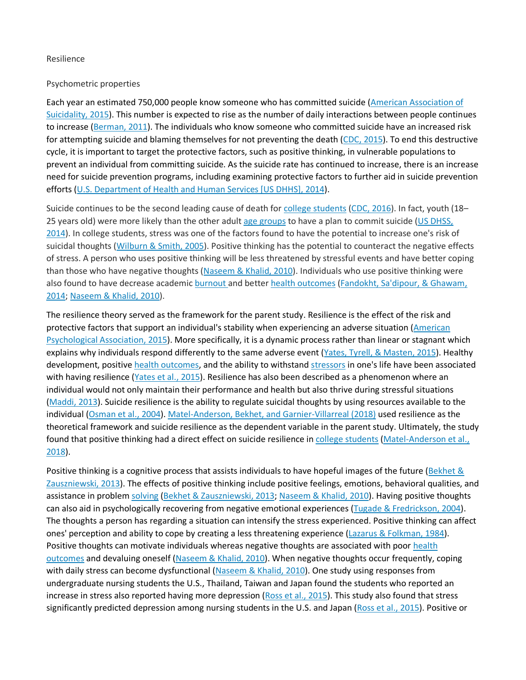#### Resilience

#### Psychometric properties

Each year an estimated 750,000 people know someone who has committed suicide [\(American Association of](https://www.sciencedirect.com/science/article/pii/S0883941718302450#bb0010)  [Suicidality, 2015\)](https://www.sciencedirect.com/science/article/pii/S0883941718302450#bb0010). This number is expected to rise as the number of daily interactions between people continues to increase [\(Berman, 2011\)](https://www.sciencedirect.com/science/article/pii/S0883941718302450#bb0035). The individuals who know someone who committed suicide have an increased risk for attempting suicide and blaming themselves for not preventing the death [\(CDC, 2015\)](https://www.sciencedirect.com/science/article/pii/S0883941718302450#bb0040). To end this destructive cycle, it is important to target the protective factors, such as positive thinking, in vulnerable populations to prevent an individual from committing suicide. As the suicide rate has continued to increase, there is an increase need for suicide prevention programs, including examining protective factors to further aid in suicide prevention efforts [\(U.S. Department of Health and Human Services \[US DHHS\], 2014\)](https://www.sciencedirect.com/science/article/pii/S0883941718302450#bb0185).

Suicide continues to be the second leading cause of death for [college students](https://www.sciencedirect.com/topics/medicine-and-dentistry/college-students) [\(CDC, 2016\)](https://www.sciencedirect.com/science/article/pii/S0883941718302450#bb0045). In fact, youth (18– 25 years old) were more likely than the other adult [age groups](https://www.sciencedirect.com/topics/nursing-and-health-professions/age-groups) to have a plan to commit suicide (US DHSS, [2014\)](https://www.sciencedirect.com/science/article/pii/S0883941718302450#bb0185). In college students, stress was one of the factors found to have the potential to increase one's risk of suicidal thoughts [\(Wilburn & Smith, 2005\)](https://www.sciencedirect.com/science/article/pii/S0883941718302450#bb0190). Positive thinking has the potential to counteract the negative effects of stress. A person who uses positive thinking will be less threatened by stressful events and have better coping than those who have negative thoughts [\(Naseem & Khalid, 2010\)](https://www.sciencedirect.com/science/article/pii/S0883941718302450#bb0115). Individuals who use positive thinking were also found to have decrease academic [burnout](https://www.sciencedirect.com/topics/medicine-and-dentistry/burnout) and better [health outcomes](https://www.sciencedirect.com/topics/medicine-and-dentistry/health-outcomes) [\(Fandokht, Sa'dipour, & Ghawam,](https://www.sciencedirect.com/science/article/pii/S0883941718302450#bb0055)  [2014;](https://www.sciencedirect.com/science/article/pii/S0883941718302450#bb0055) [Naseem & Khalid, 2010\)](https://www.sciencedirect.com/science/article/pii/S0883941718302450#bb0115).

The resilience theory served as the framework for the parent study. Resilience is the effect of the risk and protective factors that support an individual's stability when experiencing an adverse situation [\(American](https://www.sciencedirect.com/science/article/pii/S0883941718302450#bb0015)  [Psychological Association, 2015\)](https://www.sciencedirect.com/science/article/pii/S0883941718302450#bb0015). More specifically, it is a dynamic process rather than linear or stagnant which explains why individuals respond differently to the same adverse event [\(Yates, Tyrell, & Masten, 2015\)](https://www.sciencedirect.com/science/article/pii/S0883941718302450#bb0195). Healthy development, positive [health outcomes,](https://www.sciencedirect.com/topics/medicine-and-dentistry/health-outcomes) and the ability to withstand [stressors](https://www.sciencedirect.com/topics/psychology/stressors) in one's life have been associated with having resilience [\(Yates et al., 2015\)](https://www.sciencedirect.com/science/article/pii/S0883941718302450#bb0195). Resilience has also been described as a phenomenon where an individual would not only maintain their performance and health but also thrive during stressful situations [\(Maddi, 2013\)](https://www.sciencedirect.com/science/article/pii/S0883941718302450#bb0095). Suicide resilience is the ability to regulate suicidal thoughts by using resources available to the individual [\(Osman et al., 2004\)](https://www.sciencedirect.com/science/article/pii/S0883941718302450#bb0130). [Matel-Anderson, Bekhet, and Garnier-Villarreal \(2018\)](https://www.sciencedirect.com/science/article/pii/S0883941718302450#bb0105) used resilience as the theoretical framework and suicide resilience as the dependent variable in the parent study. Ultimately, the study found that positive thinking had a direct effect on suicide resilience in [college students](https://www.sciencedirect.com/topics/medicine-and-dentistry/college-students) (Matel-Anderson et al., [2018\)](https://www.sciencedirect.com/science/article/pii/S0883941718302450#bb0105).

Positive thinking is a cognitive process that assists individuals to have hopeful images of the future (Bekhet & [Zauszniewski, 2013\)](https://www.sciencedirect.com/science/article/pii/S0883941718302450#bb0030). The effects of positive thinking include positive feelings, emotions, behavioral qualities, and assistance in problem [solving](https://www.sciencedirect.com/topics/medicine-and-dentistry/nimesulide) [\(Bekhet & Zauszniewski, 2013;](https://www.sciencedirect.com/science/article/pii/S0883941718302450#bb0030) [Naseem & Khalid, 2010\)](https://www.sciencedirect.com/science/article/pii/S0883941718302450#bb0115). Having positive thoughts can also aid in psychologically recovering from negative emotional experiences [\(Tugade & Fredrickson, 2004\)](https://www.sciencedirect.com/science/article/pii/S0883941718302450#bb0175). The thoughts a person has regarding a situation can intensify the stress experienced. Positive thinking can affect ones' perception and ability to cope by creating a less threatening experience [\(Lazarus & Folkman, 1984\)](https://www.sciencedirect.com/science/article/pii/S0883941718302450#bb0080). Positive thoughts can motivate individuals whereas negative thoughts are associated with poor [health](https://www.sciencedirect.com/topics/medicine-and-dentistry/health-outcomes)  [outcomes](https://www.sciencedirect.com/topics/medicine-and-dentistry/health-outcomes) and devaluing oneself [\(Naseem & Khalid, 2010\)](https://www.sciencedirect.com/science/article/pii/S0883941718302450#bb0115). When negative thoughts occur frequently, coping with daily stress can become dysfunctional [\(Naseem & Khalid, 2010\)](https://www.sciencedirect.com/science/article/pii/S0883941718302450#bb0115). One study using responses from undergraduate nursing students the U.S., Thailand, Taiwan and Japan found the students who reported an increase in stress also reported having more depression [\(Ross et al., 2015\)](https://www.sciencedirect.com/science/article/pii/S0883941718302450#bb0145). This study also found that stress significantly predicted depression among nursing students in the U.S. and Japan [\(Ross et al., 2015\)](https://www.sciencedirect.com/science/article/pii/S0883941718302450#bb0145). Positive or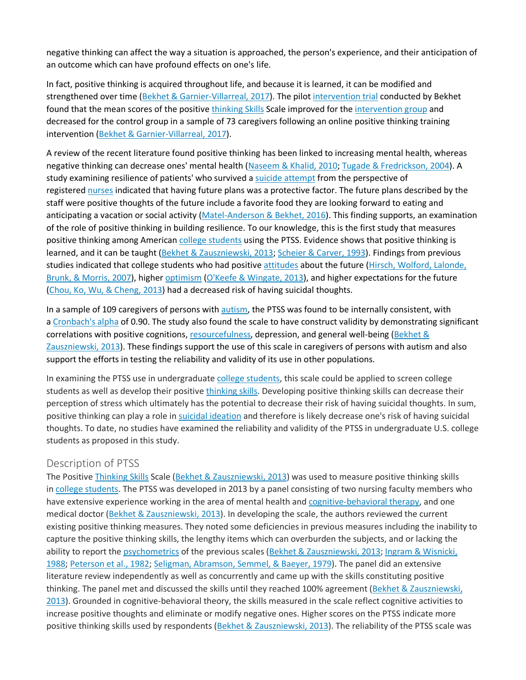negative thinking can affect the way a situation is approached, the person's experience, and their anticipation of an outcome which can have profound effects on one's life.

In fact, positive thinking is acquired throughout life, and because it is learned, it can be modified and strengthened over time [\(Bekhet & Garnier-Villarreal, 2017\)](https://www.sciencedirect.com/science/article/pii/S0883941718302450#bb0025). The pilot [intervention trial](https://www.sciencedirect.com/topics/medicine-and-dentistry/intervention-trial) conducted by Bekhet found that the mean scores of the positive [thinking Skills](https://www.sciencedirect.com/topics/psychology/thinking-skills) Scale improved for the [intervention group](https://www.sciencedirect.com/topics/psychology/group-intervention) and decreased for the control group in a sample of 73 caregivers following an online positive thinking training intervention [\(Bekhet & Garnier-Villarreal, 2017\)](https://www.sciencedirect.com/science/article/pii/S0883941718302450#bb0025).

A review of the recent literature found positive thinking has been linked to increasing mental health, whereas negative thinking can decrease ones' mental health [\(Naseem & Khalid, 2010;](https://www.sciencedirect.com/science/article/pii/S0883941718302450#bb0115) [Tugade & Fredrickson, 2004\)](https://www.sciencedirect.com/science/article/pii/S0883941718302450#bb0175). A study examining resilience of patients' who survived a [suicide attempt](https://www.sciencedirect.com/topics/medicine-and-dentistry/suicide-attempt) from the perspective of registered [nurses](https://www.sciencedirect.com/topics/medicine-and-dentistry/nurse) indicated that having future plans was a protective factor. The future plans described by the staff were positive thoughts of the future include a favorite food they are looking forward to eating and anticipating a vacation or social activity [\(Matel-Anderson & Bekhet, 2016\)](https://www.sciencedirect.com/science/article/pii/S0883941718302450#bb0100). This finding supports, an examination of the role of positive thinking in building resilience. To our knowledge, this is the first study that measures positive thinking among American [college students](https://www.sciencedirect.com/topics/medicine-and-dentistry/college-students) using the PTSS. Evidence shows that positive thinking is learned, and it can be taught [\(Bekhet & Zauszniewski, 2013;](https://www.sciencedirect.com/science/article/pii/S0883941718302450#bb0030) [Scheier & Carver, 1993\)](https://www.sciencedirect.com/science/article/pii/S0883941718302450#bb0155). Findings from previous studies indicated that college students who had positive [attitudes](https://www.sciencedirect.com/topics/psychology/attitude) about the future [\(Hirsch, Wolford, Lalonde,](https://www.sciencedirect.com/science/article/pii/S0883941718302450#bb0070)  [Brunk, & Morris,](https://www.sciencedirect.com/science/article/pii/S0883941718302450#bb0070) 2007), higher [optimism](https://www.sciencedirect.com/topics/medicine-and-dentistry/optimism) [\(O'Keefe & Wingate, 2013\)](https://www.sciencedirect.com/science/article/pii/S0883941718302450#bb0125), and higher expectations for the future [\(Chou, Ko, Wu, & Cheng, 2013\)](https://www.sciencedirect.com/science/article/pii/S0883941718302450#bb0050) had a decreased risk of having suicidal thoughts.

In a sample of 109 caregivers of persons with [autism,](https://www.sciencedirect.com/topics/medicine-and-dentistry/pervasive-developmental-disorder) the PTSS was found to be internally consistent, with a [Cronbach's alpha](https://www.sciencedirect.com/topics/nursing-and-health-professions/cronbach-alpha-coefficient) of 0.90. The study also found the scale to have construct validity by demonstrating significant correlations with positive cognitions, [resourcefulness,](https://www.sciencedirect.com/topics/psychology/resourcefulness) depression, and general well-being (Bekhet & [Zauszniewski, 2013\)](https://www.sciencedirect.com/science/article/pii/S0883941718302450#bb0030). These findings support the use of this scale in caregivers of persons with autism and also support the efforts in testing the reliability and validity of its use in other populations.

In examining the PTSS use in undergraduate [college students,](https://www.sciencedirect.com/topics/medicine-and-dentistry/college-students) this scale could be applied to screen college students as well as develop their positive [thinking skills.](https://www.sciencedirect.com/topics/psychology/thinking-skills) Developing positive thinking skills can decrease their perception of stress which ultimately has the potential to decrease their risk of having suicidal thoughts. In sum, positive thinking can play a role in [suicidal ideation](https://www.sciencedirect.com/topics/medicine-and-dentistry/suicidal-ideation) and therefore is likely decrease one's risk of having suicidal thoughts. To date, no studies have examined the reliability and validity of the PTSS in undergraduate U.S. college students as proposed in this study.

## Description of PTSS

The Positive [Thinking Skills](https://www.sciencedirect.com/topics/psychology/thinking-skills) Scale [\(Bekhet & Zauszniewski, 2013\)](https://www.sciencedirect.com/science/article/pii/S0883941718302450#bb0030) was used to measure positive thinking skills in [college students.](https://www.sciencedirect.com/topics/medicine-and-dentistry/college-students) The PTSS was developed in 2013 by a panel consisting of two nursing faculty members who have extensive experience working in the area of mental health and [cognitive-behavioral therapy,](https://www.sciencedirect.com/topics/medicine-and-dentistry/cognitive-behavioral-therapy) and one medical doctor [\(Bekhet & Zauszniewski, 2013\)](https://www.sciencedirect.com/science/article/pii/S0883941718302450#bb0030). In developing the scale, the authors reviewed the current existing positive thinking measures. They noted some deficiencies in previous measures including the inability to capture the positive thinking skills, the lengthy items which can overburden the subjects, and or lacking the ability to report the [psychometrics](https://www.sciencedirect.com/topics/medicine-and-dentistry/psychometry) of the previous scales [\(Bekhet & Zauszniewski, 2013;](https://www.sciencedirect.com/science/article/pii/S0883941718302450#bb0030) Ingram & Wisnicki, [1988;](https://www.sciencedirect.com/science/article/pii/S0883941718302450#bb0075) [Peterson et al., 1982;](https://www.sciencedirect.com/science/article/pii/S0883941718302450#bb0135) [Seligman, Abramson, Semmel, & Baeyer, 1979\)](https://www.sciencedirect.com/science/article/pii/S0883941718302450#bb0160). The panel did an extensive literature review independently as well as concurrently and came up with the skills constituting positive thinking. The panel met and discussed the skills until they reached 100% agreement [\(Bekhet & Zauszniewski,](https://www.sciencedirect.com/science/article/pii/S0883941718302450#bb0030)  [2013\)](https://www.sciencedirect.com/science/article/pii/S0883941718302450#bb0030). Grounded in cognitive-behavioral theory, the skills measured in the scale reflect cognitive activities to increase positive thoughts and eliminate or modify negative ones. Higher scores on the PTSS indicate more positive thinking skills used by respondents [\(Bekhet & Zauszniewski, 2013\)](https://www.sciencedirect.com/science/article/pii/S0883941718302450#bb0030). The reliability of the PTSS scale was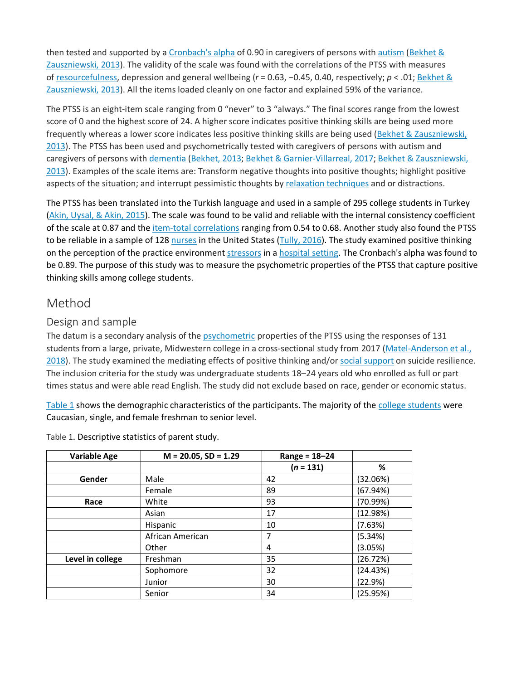then tested and supported by a [Cronbach's alpha](https://www.sciencedirect.com/topics/nursing-and-health-professions/cronbach-alpha-coefficient) of 0.90 in caregivers of persons with [autism](https://www.sciencedirect.com/topics/medicine-and-dentistry/pervasive-developmental-disorder) [\(Bekhet &](https://www.sciencedirect.com/science/article/pii/S0883941718302450#bb0030)  [Zauszniewski, 2013\)](https://www.sciencedirect.com/science/article/pii/S0883941718302450#bb0030). The validity of the scale was found with the correlations of the PTSS with measures of [resourcefulness,](https://www.sciencedirect.com/topics/psychology/resourcefulness) depression and general wellbeing (*r* = 0.63, −0.45, 0.40, respectively; *p* < .01; [Bekhet &](https://www.sciencedirect.com/science/article/pii/S0883941718302450#bb0030)  [Zauszniewski, 2013\)](https://www.sciencedirect.com/science/article/pii/S0883941718302450#bb0030). All the items loaded cleanly on one factor and explained 59% of the variance.

The PTSS is an eight-item scale ranging from 0 "never" to 3 "always." The final scores range from the lowest score of 0 and the highest score of 24. A higher score indicates positive thinking skills are being used more frequently whereas a lower score indicates less positive thinking skills are being used [\(Bekhet & Zauszniewski,](https://www.sciencedirect.com/science/article/pii/S0883941718302450#bb0030)  [2013\)](https://www.sciencedirect.com/science/article/pii/S0883941718302450#bb0030). The PTSS has been used and psychometrically tested with caregivers of persons with autism and caregivers of persons with [dementia](https://www.sciencedirect.com/topics/medicine-and-dentistry/dementia) [\(Bekhet, 2013;](https://www.sciencedirect.com/science/article/pii/S0883941718302450#bb0020) [Bekhet & Garnier-Villarreal, 2017;](https://www.sciencedirect.com/science/article/pii/S0883941718302450#bb0025) [Bekhet & Zauszniewski,](https://www.sciencedirect.com/science/article/pii/S0883941718302450#bb0030)  [2013\)](https://www.sciencedirect.com/science/article/pii/S0883941718302450#bb0030). Examples of the scale items are: Transform negative thoughts into positive thoughts; highlight positive aspects of the situation; and interrupt pessimistic thoughts by [relaxation techniques](https://www.sciencedirect.com/topics/medicine-and-dentistry/relaxation-training) and or distractions.

The PTSS has been translated into the Turkish language and used in a sample of 295 college students in Turkey [\(Akin, Uysal, & Akin, 2015\)](https://www.sciencedirect.com/science/article/pii/S0883941718302450#bb0005). The scale was found to be valid and reliable with the internal consistency coefficient of the scale at 0.87 and the [item-total correlations](https://www.sciencedirect.com/topics/nursing-and-health-professions/item-total-correlation) ranging from 0.54 to 0.68. Another study also found the PTSS to be reliable in a sample of 128 [nurses](https://www.sciencedirect.com/topics/medicine-and-dentistry/nurse) in the United States [\(Tully, 2016\)](https://www.sciencedirect.com/science/article/pii/S0883941718302450#bb0180). The study examined positive thinking on the perception of the practice environment [stressors](https://www.sciencedirect.com/topics/psychology/stressors) in a [hospital setting.](https://www.sciencedirect.com/topics/nursing-and-health-professions/hospital-setting) The Cronbach's alpha was found to be 0.89. The purpose of this study was to measure the psychometric properties of the PTSS that capture positive thinking skills among college students.

## Method

## Design and sample

The datum is a secondary analysis of the [psychometric](https://www.sciencedirect.com/topics/medicine-and-dentistry/psychometry) properties of the PTSS using the responses of 131 students from a large, private, Midwestern college in a cross-sectional study from 2017 [\(Matel-Anderson et al.,](https://www.sciencedirect.com/science/article/pii/S0883941718302450#bb0105)  [2018\)](https://www.sciencedirect.com/science/article/pii/S0883941718302450#bb0105). The study examined the mediating effects of positive thinking and/or [social support](https://www.sciencedirect.com/topics/psychology/social-support) on suicide resilience. The inclusion criteria for the study was undergraduate students 18–24 years old who enrolled as full or part times status and were able read English. The study did not exclude based on race, gender or economic status.

[Table 1](https://www.sciencedirect.com/science/article/pii/S0883941718302450#t0005) shows the demographic characteristics of the participants. The majority of the [college students](https://www.sciencedirect.com/topics/medicine-and-dentistry/college-students) were Caucasian, single, and female freshman to senior level.

| <b>Variable Age</b> | $M = 20.05$ , SD = 1.29 | $Range = 18 - 24$ |          |
|---------------------|-------------------------|-------------------|----------|
|                     |                         | $(n = 131)$       | %        |
| Gender              | Male                    | 42                | (32.06%) |
|                     | Female                  | 89                | (67.94%) |
| Race                | White                   | 93                | (70.99%) |
|                     | Asian                   | 17                | (12.98%) |
|                     | Hispanic                | 10                | (7.63%)  |
|                     | African American        | 7                 | (5.34%)  |
|                     | Other                   | 4                 | (3.05%)  |
| Level in college    | Freshman                | 35                | (26.72%) |
|                     | Sophomore               | 32                | (24.43%) |
|                     | Junior                  | 30                | (22.9%)  |
|                     | Senior                  | 34                | (25.95%) |

Table 1. Descriptive statistics of parent study.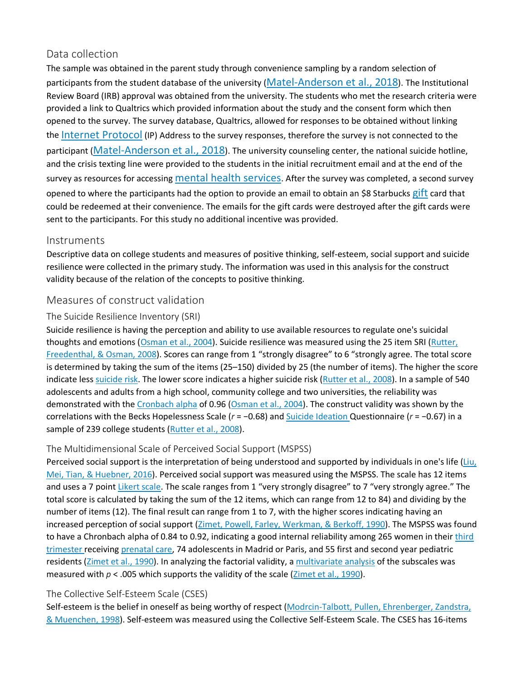## Data collection

The sample was obtained in the parent study through convenience sampling by a random selection of participants from the student database of the university [\(Matel-Anderson et al., 2018\)](https://www.sciencedirect.com/science/article/pii/S0883941718302450#bb0105). The Institutional Review Board (IRB) approval was obtained from the university. The students who met the research criteria were provided a link to Qualtrics which provided information about the study and the consent form which then opened to the survey. The survey database, Qualtrics, allowed for responses to be obtained without linking the [Internet Protocol](https://www.sciencedirect.com/topics/nursing-and-health-professions/internet-protocol) (IP) Address to the survey responses, therefore the survey is not connected to the participant [\(Matel-Anderson et al., 2018\)](https://www.sciencedirect.com/science/article/pii/S0883941718302450#bb0105). The university counseling center, the national suicide hotline, and the crisis texting line were provided to the students in the initial recruitment email and at the end of the survey as resources for accessing [mental health services.](https://www.sciencedirect.com/topics/medicine-and-dentistry/mental-health-service) After the survey was completed, a second survey opened to where the participants had the option to provide an email to obtain an \$8 Starbucks [gift](https://www.sciencedirect.com/topics/medicine-and-dentistry/gamete-intrafallopian-transfer) card that could be redeemed at their convenience. The emails for the gift cards were destroyed after the gift cards were sent to the participants. For this study no additional incentive was provided.

## Instruments

Descriptive data on college students and measures of positive thinking, self-esteem, social support and suicide resilience were collected in the primary study. The information was used in this analysis for the construct validity because of the relation of the concepts to positive thinking.

## Measures of construct validation

## The Suicide Resilience Inventory (SRI)

Suicide resilience is having the perception and ability to use available resources to regulate one's suicidal thoughts and emotions [\(Osman et al., 2004\)](https://www.sciencedirect.com/science/article/pii/S0883941718302450#bb0130). Suicide resilience was measured using the 25 item SRI (Rutter, [Freedenthal, & Osman, 2008\)](https://www.sciencedirect.com/science/article/pii/S0883941718302450#bb0150). Scores can range from 1 "strongly disagree" to 6 "strongly agree. The total score is determined by taking the sum of the items (25–150) divided by 25 (the number of items). The higher the score indicate less [suicide risk.](https://www.sciencedirect.com/topics/medicine-and-dentistry/suicide-risk) The lower score indicates a higher suicide risk [\(Rutter et al., 2008\)](https://www.sciencedirect.com/science/article/pii/S0883941718302450#bb0150). In a sample of 540 adolescents and adults from a high school, community college and two universities, the reliability was demonstrated with the [Cronbach alpha](https://www.sciencedirect.com/topics/nursing-and-health-professions/cronbach-alpha-coefficient) of 0.96 [\(Osman et al., 2004\)](https://www.sciencedirect.com/science/article/pii/S0883941718302450#bb0130). The construct validity was shown by the correlations with the Becks Hopelessness Scale (*r* = −0.68) and [Suicide Ideation](https://www.sciencedirect.com/topics/medicine-and-dentistry/suicidal-ideation) Questionnaire (*r* = −0.67) in a sample of 239 college students [\(Rutter et al., 2008\)](https://www.sciencedirect.com/science/article/pii/S0883941718302450#bb0150).

## The Multidimensional Scale of Perceived Social Support (MSPSS)

Perceived social support is the interpretation of being understood and supported by individuals in one's life (Liu, [Mei, Tian, & Huebner, 2016\)](https://www.sciencedirect.com/science/article/pii/S0883941718302450#bb0085). Perceived social support was measured using the MSPSS. The scale has 12 items and uses a 7 point [Likert scale.](https://www.sciencedirect.com/topics/medicine-and-dentistry/likert-scale) The scale ranges from 1 "very strongly disagree" to 7 "very strongly agree." The total score is calculated by taking the sum of the 12 items, which can range from 12 to 84) and dividing by the number of items (12). The final result can range from 1 to 7, with the higher scores indicating having an increased perception of social support [\(Zimet, Powell, Farley, Werkman, & Berkoff, 1990\)](https://www.sciencedirect.com/science/article/pii/S0883941718302450#bb0200). The MSPSS was found to have a Chronbach alpha of 0.84 to 0.92, indicating a good internal reliability among 265 women in their [third](https://www.sciencedirect.com/topics/medicine-and-dentistry/third-trimester-pregnancy)  [trimester](https://www.sciencedirect.com/topics/medicine-and-dentistry/third-trimester-pregnancy) receiving [prenatal care,](https://www.sciencedirect.com/topics/medicine-and-dentistry/prenatal-care) 74 adolescents in Madrid or Paris, and 55 first and second year pediatric residents [\(Zimet et al., 1990\)](https://www.sciencedirect.com/science/article/pii/S0883941718302450#bb0200). In analyzing the factorial validity, a [multivariate analysis](https://www.sciencedirect.com/topics/medicine-and-dentistry/multivariate-analysis) of the subscales was measured with  $p < 0.005$  which supports the validity of the scale ([Zimet et al., 1990\)](https://www.sciencedirect.com/science/article/pii/S0883941718302450#bb0200).

## The Collective Self-Esteem Scale (CSES)

Self-esteem is the belief in oneself as being worthy of respect [\(Modrcin-Talbott, Pullen, Ehrenberger, Zandstra,](https://www.sciencedirect.com/science/article/pii/S0883941718302450#bb0110)  [& Muenchen, 1998\)](https://www.sciencedirect.com/science/article/pii/S0883941718302450#bb0110). Self-esteem was measured using the Collective Self-Esteem Scale. The CSES has 16-items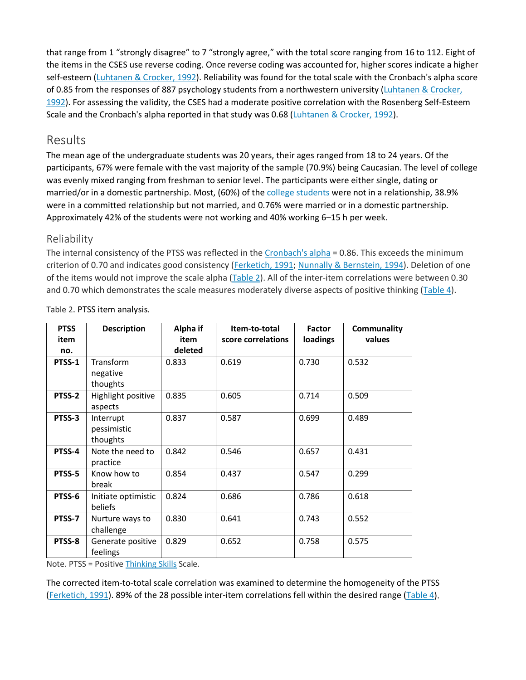that range from 1 "strongly disagree" to 7 "strongly agree," with the total score ranging from 16 to 112. Eight of the items in the CSES use reverse coding. Once reverse coding was accounted for, higher scores indicate a higher self-esteem [\(Luhtanen & Crocker, 1992\)](https://www.sciencedirect.com/science/article/pii/S0883941718302450#bb0090). Reliability was found for the total scale with the Cronbach's alpha score of 0.85 from the responses of 887 psychology students from a northwestern university (Luhtanen & Crocker, [1992\)](https://www.sciencedirect.com/science/article/pii/S0883941718302450#bb0090). For assessing the validity, the CSES had a moderate positive correlation with the Rosenberg Self-Esteem Scale and the Cronbach's alpha reported in that study was 0.68 [\(Luhtanen & Crocker, 1992\)](https://www.sciencedirect.com/science/article/pii/S0883941718302450#bb0090).

## Results

The mean age of the undergraduate students was 20 years, their ages ranged from 18 to 24 years. Of the participants, 67% were female with the vast majority of the sample (70.9%) being Caucasian. The level of college was evenly mixed ranging from freshman to senior level. The participants were either single, dating or married/or in a domestic partnership. Most, (60%) of the [college students](https://www.sciencedirect.com/topics/medicine-and-dentistry/college-students) were not in a relationship, 38.9% were in a committed relationship but not married, and 0.76% were married or in a domestic partnership. Approximately 42% of the students were not working and 40% working 6–15 h per week.

## Reliability

The internal consistency of the PTSS was reflected in the [Cronbach's alpha](https://www.sciencedirect.com/topics/nursing-and-health-professions/cronbach-alpha-coefficient) = 0.86. This exceeds the minimum criterion of 0.70 and indicates good consistency [\(Ferketich, 1991;](https://www.sciencedirect.com/science/article/pii/S0883941718302450#bb0060) [Nunnally & Bernstein, 1994\)](https://www.sciencedirect.com/science/article/pii/S0883941718302450#bb0120). Deletion of one of the items would not improve the scale alpha [\(Table 2\)](https://www.sciencedirect.com/science/article/pii/S0883941718302450#t0010). All of the inter-item correlations were between 0.30 and 0.70 which demonstrates the scale measures moderately diverse aspects of positive thinking [\(Table 4\)](https://www.sciencedirect.com/science/article/pii/S0883941718302450#t0020).

| <b>PTSS</b> | <b>Description</b>  | Alpha if | Item-to-total      | <b>Factor</b> | Communality |
|-------------|---------------------|----------|--------------------|---------------|-------------|
| item        |                     | item     | score correlations | loadings      | values      |
| no.         |                     | deleted  |                    |               |             |
| PTSS-1      | Transform           | 0.833    | 0.619              | 0.730         | 0.532       |
|             | negative            |          |                    |               |             |
|             | thoughts            |          |                    |               |             |
| PTSS-2      | Highlight positive  | 0.835    | 0.605              | 0.714         | 0.509       |
|             | aspects             |          |                    |               |             |
| PTSS-3      | Interrupt           | 0.837    | 0.587              | 0.699         | 0.489       |
|             | pessimistic         |          |                    |               |             |
|             | thoughts            |          |                    |               |             |
| PTSS-4      | Note the need to    | 0.842    | 0.546              | 0.657         | 0.431       |
|             | practice            |          |                    |               |             |
| PTSS-5      | Know how to         | 0.854    | 0.437              | 0.547         | 0.299       |
|             | break               |          |                    |               |             |
| PTSS-6      | Initiate optimistic | 0.824    | 0.686              | 0.786         | 0.618       |
|             | beliefs             |          |                    |               |             |
| PTSS-7      | Nurture ways to     | 0.830    | 0.641              | 0.743         | 0.552       |
|             | challenge           |          |                    |               |             |
| PTSS-8      | Generate positive   | 0.829    | 0.652              | 0.758         | 0.575       |
|             | feelings            |          |                    |               |             |

Table 2. PTSS item analysis.

Note. PTSS = Positive [Thinking Skills](https://www.sciencedirect.com/topics/psychology/thinking-skills) Scale.

The corrected item-to-total scale correlation was examined to determine the homogeneity of the PTSS [\(Ferketich, 1991\)](https://www.sciencedirect.com/science/article/pii/S0883941718302450#bb0060). 89% of the 28 possible inter-item correlations fell within the desired range [\(Table 4\)](https://www.sciencedirect.com/science/article/pii/S0883941718302450#t0020).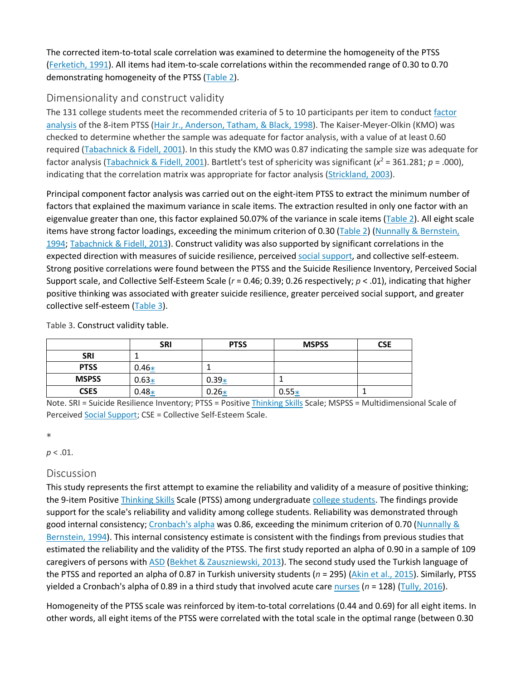The corrected item-to-total scale correlation was examined to determine the homogeneity of the PTSS [\(Ferketich, 1991\)](https://www.sciencedirect.com/science/article/pii/S0883941718302450#bb0060). All items had item-to-scale correlations within the recommended range of 0.30 to 0.70 demonstrating homogeneity of the PTSS [\(Table 2\)](https://www.sciencedirect.com/science/article/pii/S0883941718302450#t0010).

## Dimensionality and construct validity

The 131 college students meet the recommended criteria of 5 to 10 participants per item to conduct [factor](https://www.sciencedirect.com/topics/medicine-and-dentistry/factor-analysis)  [analysis](https://www.sciencedirect.com/topics/medicine-and-dentistry/factor-analysis) of the 8-item PTSS [\(Hair Jr., Anderson, Tatham, & Black, 1998\)](https://www.sciencedirect.com/science/article/pii/S0883941718302450#bb0065). The Kaiser-Meyer-Olkin (KMO) was checked to determine whether the sample was adequate for factor analysis, with a value of at least 0.60 required [\(Tabachnick & Fidell,](https://www.sciencedirect.com/science/article/pii/S0883941718302450#bb9000) 2001). In this study the KMO was 0.87 indicating the sample size was adequate for factor analysis [\(Tabachnick & Fidell, 2001\)](https://www.sciencedirect.com/science/article/pii/S0883941718302450#bb9000). Bartlett's test of sphericity was significant (*x*<sup>2</sup> = 361.281; *p* = .000), indicating that the correlation matrix was appropriate for factor analysis [\(Strickland, 2003\)](https://www.sciencedirect.com/science/article/pii/S0883941718302450#bb0165).

Principal component factor analysis was carried out on the eight-item PTSS to extract the minimum number of factors that explained the maximum variance in scale items. The extraction resulted in only one factor with an eigenvalue greater than one, this factor explained 50.07% of the variance in scale items [\(Table 2\)](https://www.sciencedirect.com/science/article/pii/S0883941718302450#t0010). All eight scale items have strong factor loadings, exceeding the minimum criterion of 0.30 [\(Table 2\)](https://www.sciencedirect.com/science/article/pii/S0883941718302450#t0010) (Nunnally & Bernstein, [1994;](https://www.sciencedirect.com/science/article/pii/S0883941718302450#bb0120) [Tabachnick & Fidell, 2013\)](https://www.sciencedirect.com/science/article/pii/S0883941718302450#bb0170). Construct validity was also supported by significant correlations in the expected direction with measures of suicide resilience, perceived [social support,](https://www.sciencedirect.com/topics/psychology/social-support) and collective self-esteem. Strong positive correlations were found between the PTSS and the Suicide Resilience Inventory, Perceived Social Support scale, and Collective Self-Esteem Scale (*r* = 0.46; 0.39; 0.26 respectively; *p* < .01), indicating that higher positive thinking was associated with greater suicide resilience, greater perceived social support, and greater collective self-esteem [\(Table 3\)](https://www.sciencedirect.com/science/article/pii/S0883941718302450#t0015).

Table 3. Construct validity table.

|              | <b>SRI</b> | <b>PTSS</b> | <b>MSPSS</b> | <b>CSE</b> |
|--------------|------------|-------------|--------------|------------|
| <b>SRI</b>   |            |             |              |            |
| <b>PTSS</b>  | $0.46*$    |             |              |            |
| <b>MSPSS</b> | $0.63*$    | $0.39*$     |              |            |
| <b>CSES</b>  | $0.48*$    | $0.26*$     | $0.55*$      |            |

Note. SRI = Suicide Resilience Inventory; PTSS = Positive [Thinking Skills](https://www.sciencedirect.com/topics/psychology/thinking-skills) Scale; MSPSS = Multidimensional Scale of Perceived [Social Support](https://www.sciencedirect.com/topics/psychology/social-support); CSE = Collective Self-Esteem Scale.

 $\ast$ 

#### *p* < .01.

## **Discussion**

This study represents the first attempt to examine the reliability and validity of a measure of positive thinking; the 9-item Positive [Thinking Skills](https://www.sciencedirect.com/topics/psychology/thinking-skills) Scale (PTSS) among undergraduate [college students.](https://www.sciencedirect.com/topics/medicine-and-dentistry/college-students) The findings provide support for the scale's reliability and validity among college students. Reliability was demonstrated through good internal consistency; [Cronbach's alpha](https://www.sciencedirect.com/topics/nursing-and-health-professions/cronbach-alpha-coefficient) was 0.86, exceeding the minimum criterion of 0.70 [\(Nunnally &](https://www.sciencedirect.com/science/article/pii/S0883941718302450#bb0120)  [Bernstein, 1994\)](https://www.sciencedirect.com/science/article/pii/S0883941718302450#bb0120). This internal consistency estimate is consistent with the findings from previous studies that estimated the reliability and the validity of the PTSS. The first study reported an alpha of 0.90 in a sample of 109 caregivers of persons with [ASD](https://www.sciencedirect.com/topics/medicine-and-dentistry/atrial-septal-defect) [\(Bekhet & Zauszniewski, 2013\)](https://www.sciencedirect.com/science/article/pii/S0883941718302450#bb0030). The second study used the Turkish language of the PTSS and reported an alpha of 0.87 in Turkish university students (*n* = 295) ([Akin et al., 2015\)](https://www.sciencedirect.com/science/article/pii/S0883941718302450#bb0005). Similarly, PTSS yielded a Cronbach's alpha of 0.89 in a third study that involved acute care [nurses](https://www.sciencedirect.com/topics/medicine-and-dentistry/nurse) (*n* = 128) ([Tully, 2016\)](https://www.sciencedirect.com/science/article/pii/S0883941718302450#bb0180).

Homogeneity of the PTSS scale was reinforced by item-to-total correlations (0.44 and 0.69) for all eight items. In other words, all eight items of the PTSS were correlated with the total scale in the optimal range (between 0.30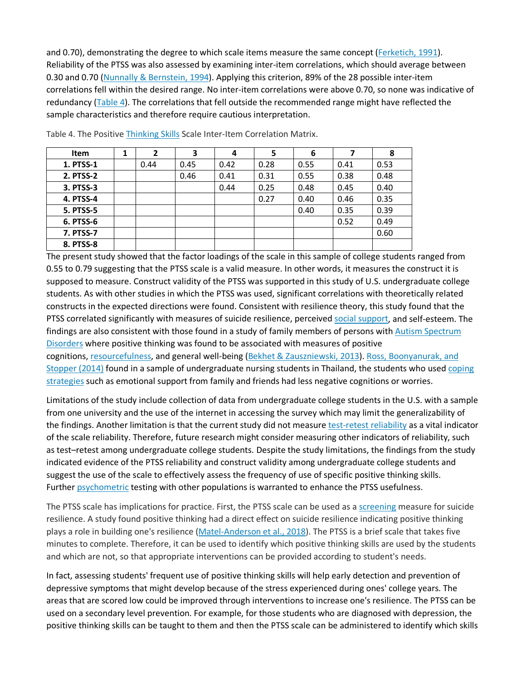and 0.70), demonstrating the degree to which scale items measure the same concept [\(Ferketich, 1991\)](https://www.sciencedirect.com/science/article/pii/S0883941718302450#bb0060). Reliability of the PTSS was also assessed by examining inter-item correlations, which should average between 0.30 and 0.70 [\(Nunnally & Bernstein, 1994\)](https://www.sciencedirect.com/science/article/pii/S0883941718302450#bb0120). Applying this criterion, 89% of the 28 possible inter-item correlations fell within the desired range. No inter-item correlations were above 0.70, so none was indicative of redundancy [\(Table 4\)](https://www.sciencedirect.com/science/article/pii/S0883941718302450#t0020). The correlations that fell outside the recommended range might have reflected the sample characteristics and therefore require cautious interpretation.

| <b>Item</b>      | $\overline{2}$ | 3    | 4    | 5    | 6    |      | 8    |
|------------------|----------------|------|------|------|------|------|------|
| 1. PTSS-1        | 0.44           | 0.45 | 0.42 | 0.28 | 0.55 | 0.41 | 0.53 |
| 2. PTSS-2        |                | 0.46 | 0.41 | 0.31 | 0.55 | 0.38 | 0.48 |
| 3. PTSS-3        |                |      | 0.44 | 0.25 | 0.48 | 0.45 | 0.40 |
| <b>4. PTSS-4</b> |                |      |      | 0.27 | 0.40 | 0.46 | 0.35 |
| <b>5. PTSS-5</b> |                |      |      |      | 0.40 | 0.35 | 0.39 |
| 6. PTSS-6        |                |      |      |      |      | 0.52 | 0.49 |
| <b>7. PTSS-7</b> |                |      |      |      |      |      | 0.60 |
| 8. PTSS-8        |                |      |      |      |      |      |      |

Table 4. The Positive [Thinking Skills](https://www.sciencedirect.com/topics/psychology/thinking-skills) Scale Inter-Item Correlation Matrix.

The present study showed that the factor loadings of the scale in this sample of college students ranged from 0.55 to 0.79 suggesting that the PTSS scale is a valid measure. In other words, it measures the construct it is supposed to measure. Construct validity of the PTSS was supported in this study of U.S. undergraduate college students. As with other studies in which the PTSS was used, significant correlations with theoretically related constructs in the expected directions were found. Consistent with resilience theory, this study found that the PTSS correlated significantly with measures of suicide resilience, perceived [social support,](https://www.sciencedirect.com/topics/psychology/social-support) and self-esteem. The findings are also consistent with those found in a study of family members of persons with [Autism Spectrum](https://www.sciencedirect.com/topics/medicine-and-dentistry/pervasive-developmental-disorder)  [Disorders](https://www.sciencedirect.com/topics/medicine-and-dentistry/pervasive-developmental-disorder) where positive thinking was found to be associated with measures of positive cognitions, [resourcefulness,](https://www.sciencedirect.com/topics/psychology/resourcefulness) and general well-being [\(Bekhet & Zauszniewski, 2013\)](https://www.sciencedirect.com/science/article/pii/S0883941718302450#bb0030). [Ross, Boonyanurak, and](https://www.sciencedirect.com/science/article/pii/S0883941718302450#bb0140)  [Stopper](https://www.sciencedirect.com/science/article/pii/S0883941718302450#bb0140) (2014) found in a sample of undergraduate nursing students in Thailand, the students who used [coping](https://www.sciencedirect.com/topics/psychology/coping-strategy)  [strategies](https://www.sciencedirect.com/topics/psychology/coping-strategy) such as emotional support from family and friends had less negative cognitions or worries.

Limitations of the study include collection of data from undergraduate college students in the U.S. with a sample from one university and the use of the internet in accessing the survey which may limit the generalizability of the findings. Another limitation is that the current study did not measure [test-retest reliability](https://www.sciencedirect.com/topics/medicine-and-dentistry/test-retest-reliability) as a vital indicator of the scale reliability. Therefore, future research might consider measuring other indicators of reliability, such as test–retest among undergraduate college students. Despite the study limitations, the findings from the study indicated evidence of the PTSS reliability and construct validity among undergraduate college students and suggest the use of the scale to effectively assess the frequency of use of specific positive thinking skills. Further [psychometric](https://www.sciencedirect.com/topics/medicine-and-dentistry/psychometry) testing with other populations is warranted to enhance the PTSS usefulness.

The PTSS scale has implications for practice. First, the PTSS scale can be used as a [screening](https://www.sciencedirect.com/topics/psychology/screening) measure for suicide resilience. A study found positive thinking had a direct effect on suicide resilience indicating positive thinking plays a role in building one's resilience [\(Matel-Anderson et al., 2018\)](https://www.sciencedirect.com/science/article/pii/S0883941718302450#bb0105). The PTSS is a brief scale that takes five minutes to complete. Therefore, it can be used to identify which positive thinking skills are used by the students and which are not, so that appropriate interventions can be provided according to student's needs.

In fact, assessing students' frequent use of positive thinking skills will help early detection and prevention of depressive symptoms that might develop because of the stress experienced during ones' college years. The areas that are scored low could be improved through interventions to increase one's resilience. The PTSS can be used on a secondary level prevention. For example, for those students who are diagnosed with depression, the positive thinking skills can be taught to them and then the PTSS scale can be administered to identify which skills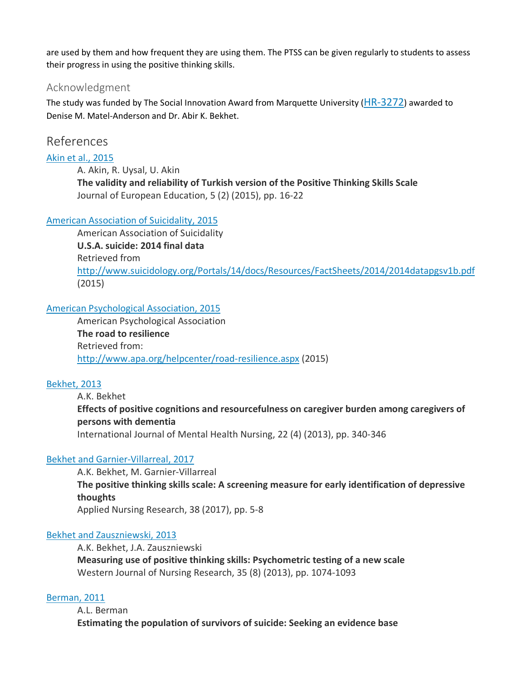are used by them and how frequent they are using them. The PTSS can be given regularly to students to assess their progress in using the positive thinking skills.

#### Acknowledgment

The study was funded by The Social Innovation Award from Marquette University [\(HR-3272\)](https://www.sciencedirect.com/science/article/pii/S0883941718302450#gts0005) awarded to Denise M. Matel-Anderson and Dr. Abir K. Bekhet.

## References

[Akin et al., 2015](https://www.sciencedirect.com/science/article/pii/S0883941718302450?via%3Dihub#bbb0005)

A. Akin, R. Uysal, U. Akin **The validity and reliability of Turkish version of the Positive Thinking Skills Scale** Journal of European Education, 5 (2) (2015), pp. 16-22

#### [American Association of Suicidality, 2015](https://www.sciencedirect.com/science/article/pii/S0883941718302450?via%3Dihub#bbb0010)

American Association of Suicidality **U.S.A. suicide: 2014 final data** Retrieved from <http://www.suicidology.org/Portals/14/docs/Resources/FactSheets/2014/2014datapgsv1b.pdf> (2015)

#### [American Psychological Association, 2015](https://www.sciencedirect.com/science/article/pii/S0883941718302450?via%3Dihub#bbb0015)

American Psychological Association **The road to resilience** Retrieved from: <http://www.apa.org/helpcenter/road-resilience.aspx> (2015)

#### [Bekhet, 2013](https://www.sciencedirect.com/science/article/pii/S0883941718302450?via%3Dihub#bbb0020)

A.K. Bekhet **Effects of positive cognitions and resourcefulness on caregiver burden among caregivers of persons with dementia** International Journal of Mental Health Nursing, 22 (4) (2013), pp. 340-346

#### [Bekhet and Garnier-Villarreal, 2017](https://www.sciencedirect.com/science/article/pii/S0883941718302450?via%3Dihub#bbb0025)

A.K. Bekhet, M. Garnier-Villarreal **The positive thinking skills scale: A screening measure for early identification of depressive thoughts** Applied Nursing Research, 38 (2017), pp. 5-8

#### [Bekhet and Zauszniewski, 2013](https://www.sciencedirect.com/science/article/pii/S0883941718302450?via%3Dihub#bbb0030)

A.K. Bekhet, J.A. Zauszniewski **Measuring use of positive thinking skills: Psychometric testing of a new scale** Western Journal of Nursing Research, 35 (8) (2013), pp. 1074-1093

#### [Berman, 2011](https://www.sciencedirect.com/science/article/pii/S0883941718302450?via%3Dihub#bbb0035)

A.L. Berman **Estimating the population of survivors of suicide: Seeking an evidence base**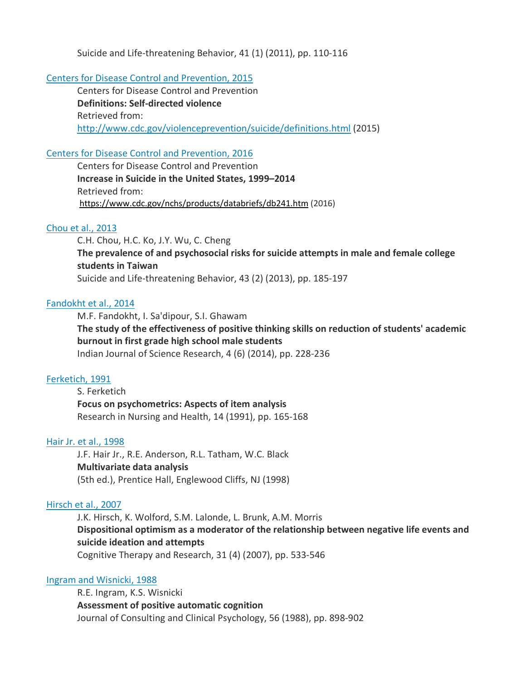Suicide and Life-threatening Behavior, 41 (1) (2011), pp. 110-116

#### [Centers for Disease Control and Prevention, 2015](https://www.sciencedirect.com/science/article/pii/S0883941718302450?via%3Dihub#bbb0040)

Centers for Disease Control and Prevention **Definitions: Self-directed violence** Retrieved from: <http://www.cdc.gov/violenceprevention/suicide/definitions.html> (2015)

#### [Centers for Disease Control and Prevention, 2016](https://www.sciencedirect.com/science/article/pii/S0883941718302450?via%3Dihub#bbb0045)

Centers for Disease Control and Prevention **Increase in Suicide in the United States, 1999–2014** Retrieved from: <https://www.cdc.gov/nchs/products/databriefs/db241.htm> (2016)

#### [Chou et al., 2013](https://www.sciencedirect.com/science/article/pii/S0883941718302450?via%3Dihub#bbb0050)

C.H. Chou, H.C. Ko, J.Y. Wu, C. Cheng **The prevalence of and psychosocial risks for suicide attempts in male and female college students in Taiwan** Suicide and Life-threatening Behavior, 43 (2) (2013), pp. 185-197

#### [Fandokht et al., 2014](https://www.sciencedirect.com/science/article/pii/S0883941718302450?via%3Dihub#bbb0055)

M.F. Fandokht, I. Sa'dipour, S.I. Ghawam **The study of the effectiveness of positive thinking skills on reduction of students' academic burnout in first grade high school male students** Indian Journal of Science Research, 4 (6) (2014), pp. 228-236

#### [Ferketich, 1991](https://www.sciencedirect.com/science/article/pii/S0883941718302450?via%3Dihub#bbb0060)

S. Ferketich **Focus on psychometrics: Aspects of item analysis** Research in Nursing and Health, 14 (1991), pp. 165-168

#### [Hair Jr. et al., 1998](https://www.sciencedirect.com/science/article/pii/S0883941718302450?via%3Dihub#bbb0065)

J.F. Hair Jr., R.E. Anderson, R.L. Tatham, W.C. Black **Multivariate data analysis** (5th ed.), Prentice Hall, Englewood Cliffs, NJ (1998)

#### [Hirsch et al., 2007](https://www.sciencedirect.com/science/article/pii/S0883941718302450?via%3Dihub#bbb0070)

J.K. Hirsch, K. Wolford, S.M. Lalonde, L. Brunk, A.M. Morris **Dispositional optimism as a moderator of the relationship between negative life events and suicide ideation and attempts** Cognitive Therapy and Research, 31 (4) (2007), pp. 533-546

#### [Ingram and Wisnicki, 1988](https://www.sciencedirect.com/science/article/pii/S0883941718302450?via%3Dihub#bbb0075)

R.E. Ingram, K.S. Wisnicki **Assessment of positive automatic cognition** Journal of Consulting and Clinical Psychology, 56 (1988), pp. 898-902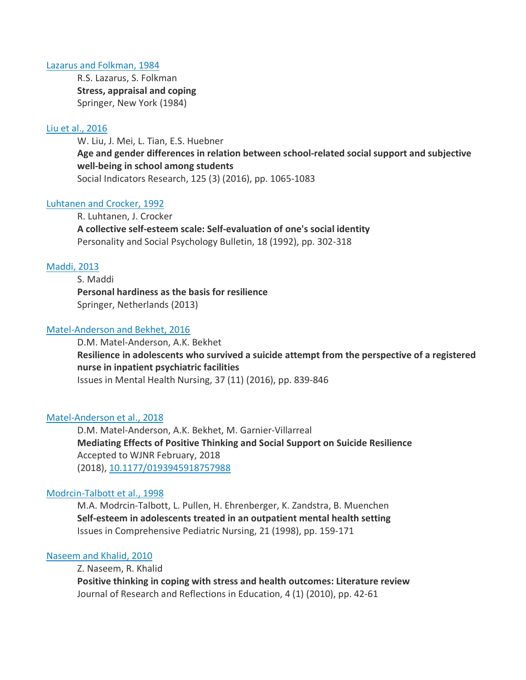#### [Lazarus and Folkman, 1984](https://www.sciencedirect.com/science/article/pii/S0883941718302450?via%3Dihub#bbb0080)

R.S. Lazarus, S. Folkman **Stress, appraisal and coping** Springer, New York (1984)

#### [Liu et al., 2016](https://www.sciencedirect.com/science/article/pii/S0883941718302450?via%3Dihub#bbb0085)

W. Liu, J. Mei, L. Tian, E.S. Huebner **Age and gender differences in relation between school-related social support and subjective well-being in school among students** Social Indicators Research, 125 (3) (2016), pp. 1065-1083

#### [Luhtanen and Crocker, 1992](https://www.sciencedirect.com/science/article/pii/S0883941718302450?via%3Dihub#bbb0090)

R. Luhtanen, J. Crocker **A collective self-esteem scale: Self-evaluation of one's social identity** Personality and Social Psychology Bulletin, 18 (1992), pp. 302-318

#### [Maddi, 2013](https://www.sciencedirect.com/science/article/pii/S0883941718302450?via%3Dihub#bbb0095)

S. Maddi **Personal hardiness as the basis for resilience** Springer, Netherlands (2013)

#### [Matel-Anderson and Bekhet, 2016](https://www.sciencedirect.com/science/article/pii/S0883941718302450?via%3Dihub#bbb0100)

D.M. Matel-Anderson, A.K. Bekhet **Resilience in adolescents who survived a suicide attempt from the perspective of a registered nurse in inpatient psychiatric facilities** Issues in Mental Health Nursing, 37 (11) (2016), pp. 839-846

#### [Matel-Anderson et al., 2018](https://www.sciencedirect.com/science/article/pii/S0883941718302450?via%3Dihub#bbb0105)

D.M. Matel-Anderson, A.K. Bekhet, M. Garnier-Villarreal **Mediating Effects of Positive Thinking and Social Support on Suicide Resilience** Accepted to WJNR February, 2018 (2018), [10.1177/0193945918757988](https://doi.org/10.1177/0193945918757988)

#### [Modrcin-Talbott et al., 1998](https://www.sciencedirect.com/science/article/pii/S0883941718302450?via%3Dihub#bbb0110)

M.A. Modrcin-Talbott, L. Pullen, H. Ehrenberger, K. Zandstra, B. Muenchen **Self-esteem in adolescents treated in an outpatient mental health setting** Issues in Comprehensive Pediatric Nursing, 21 (1998), pp. 159-171

#### [Naseem and Khalid, 2010](https://www.sciencedirect.com/science/article/pii/S0883941718302450?via%3Dihub#bbb0115)

Z. Naseem, R. Khalid

**Positive thinking in coping with stress and health outcomes: Literature review** Journal of Research and Reflections in Education, 4 (1) (2010), pp. 42-61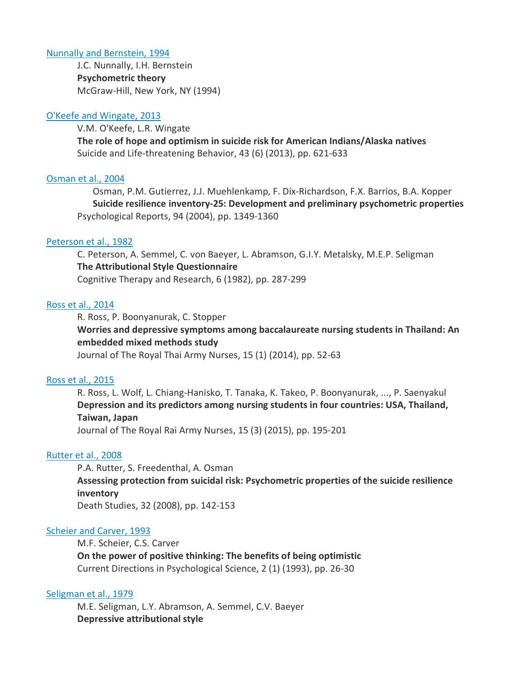#### [Nunnally and Bernstein, 1994](https://www.sciencedirect.com/science/article/pii/S0883941718302450?via%3Dihub#bbb0120)

J.C. Nunnally, I.H. Bernstein **Psychometric theory** McGraw-Hill, New York, NY (1994)

#### [O'Keefe and Wingate, 2013](https://www.sciencedirect.com/science/article/pii/S0883941718302450?via%3Dihub#bbb0125)

V.M. O'Keefe, L.R. Wingate

**The role of hope and optimism in suicide risk for American Indians/Alaska natives** Suicide and Life-threatening Behavior, 43 (6) (2013), pp. 621-633

#### [Osman et al., 2004](https://www.sciencedirect.com/science/article/pii/S0883941718302450?via%3Dihub#bbb0130)

Osman, P.M. Gutierrez, J.J. Muehlenkamp, F. Dix-Richardson, F.X. Barrios, B.A. Kopper **Suicide resilience inventory-25: Development and preliminary psychometric properties** Psychological Reports, 94 (2004), pp. 1349-1360

#### [Peterson et al., 1982](https://www.sciencedirect.com/science/article/pii/S0883941718302450?via%3Dihub#bbb0135)

C. Peterson, A. Semmel, C. von Baeyer, L. Abramson, G.I.Y. Metalsky, M.E.P. Seligman **The Attributional Style Questionnaire** Cognitive Therapy and Research, 6 (1982), pp. 287-299

#### [Ross et al., 2014](https://www.sciencedirect.com/science/article/pii/S0883941718302450?via%3Dihub#bbb0140)

R. Ross, P. Boonyanurak, C. Stopper **Worries and depressive symptoms among baccalaureate nursing students in Thailand: An embedded mixed methods study** Journal of The Royal Thai Army Nurses, 15 (1) (2014), pp. 52-63

#### [Ross et al., 2015](https://www.sciencedirect.com/science/article/pii/S0883941718302450?via%3Dihub#bbb0145)

R. Ross, L. Wolf, L. Chiang-Hanisko, T. Tanaka, K. Takeo, P. Boonyanurak, ..., P. Saenyakul **Depression and its predictors among nursing students in four countries: USA, Thailand, Taiwan, Japan**

Journal of The Royal Rai Army Nurses, 15 (3) (2015), pp. 195-201

#### [Rutter et al., 2008](https://www.sciencedirect.com/science/article/pii/S0883941718302450?via%3Dihub#bbb0150)

P.A. Rutter, S. Freedenthal, A. Osman **Assessing protection from suicidal risk: Psychometric properties of the suicide resilience inventory** Death Studies, 32 (2008), pp. 142-153

#### [Scheier and Carver, 1993](https://www.sciencedirect.com/science/article/pii/S0883941718302450?via%3Dihub#bbb0155)

M.F. Scheier, C.S. Carver **On the power of positive thinking: The benefits of being optimistic** Current Directions in Psychological Science, 2 (1) (1993), pp. 26-30

#### [Seligman et al., 1979](https://www.sciencedirect.com/science/article/pii/S0883941718302450?via%3Dihub#bbb0160)

M.E. Seligman, L.Y. Abramson, A. Semmel, C.V. Baeyer **Depressive attributional style**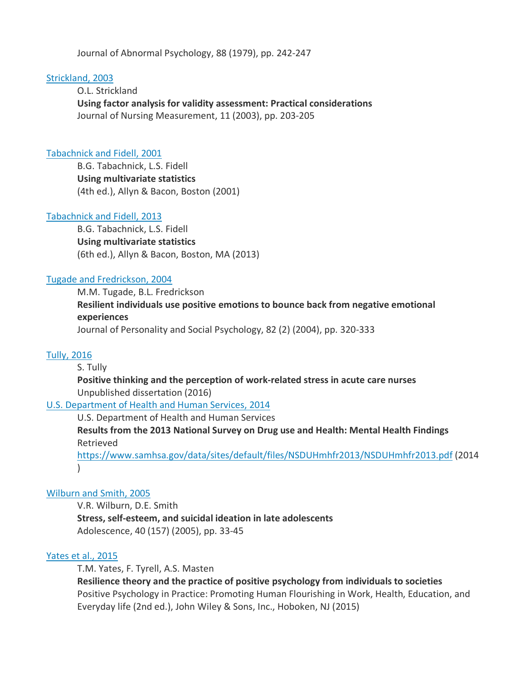Journal of Abnormal Psychology, 88 (1979), pp. 242-247

#### [Strickland, 2003](https://www.sciencedirect.com/science/article/pii/S0883941718302450?via%3Dihub#bbb0165)

O.L. Strickland **Using factor analysis for validity assessment: Practical considerations** Journal of Nursing Measurement, 11 (2003), pp. 203-205

#### [Tabachnick and Fidell, 2001](https://www.sciencedirect.com/science/article/pii/S0883941718302450?via%3Dihub#bbb9000)

B.G. Tabachnick, L.S. Fidell **Using multivariate statistics** (4th ed.), Allyn & Bacon, Boston (2001)

#### [Tabachnick and Fidell, 2013](https://www.sciencedirect.com/science/article/pii/S0883941718302450?via%3Dihub#bbb0170)

B.G. Tabachnick, L.S. Fidell **Using multivariate statistics** (6th ed.), Allyn & Bacon, Boston, MA (2013)

#### [Tugade and Fredrickson, 2004](https://www.sciencedirect.com/science/article/pii/S0883941718302450?via%3Dihub#bbb0175)

M.M. Tugade, B.L. Fredrickson **Resilient individuals use positive emotions to bounce back from negative emotional experiences** Journal of Personality and Social Psychology, 82 (2) (2004), pp. 320-333

#### [Tully, 2016](https://www.sciencedirect.com/science/article/pii/S0883941718302450?via%3Dihub#bbb0180)

#### S. Tully

**Positive thinking and the perception of work-related stress in acute care nurses** Unpublished dissertation (2016)

#### [U.S. Department of Health and Human Services, 2014](https://www.sciencedirect.com/science/article/pii/S0883941718302450?via%3Dihub#bbb0185)

U.S. Department of Health and Human Services

**Results from the 2013 National Survey on Drug use and Health: Mental Health Findings** Retrieved

<https://www.samhsa.gov/data/sites/default/files/NSDUHmhfr2013/NSDUHmhfr2013.pdf> (2014 )

#### [Wilburn and Smith, 2005](https://www.sciencedirect.com/science/article/pii/S0883941718302450?via%3Dihub#bbb0190)

V.R. Wilburn, D.E. Smith **Stress, self-esteem, and suicidal ideation in late adolescents** Adolescence, 40 (157) (2005), pp. 33-45

#### [Yates et al., 2015](https://www.sciencedirect.com/science/article/pii/S0883941718302450?via%3Dihub#bbb0195)

T.M. Yates, F. Tyrell, A.S. Masten **Resilience theory and the practice of positive psychology from individuals to societies** Positive Psychology in Practice: Promoting Human Flourishing in Work, Health, Education, and Everyday life (2nd ed.), John Wiley & Sons, Inc., Hoboken, NJ (2015)